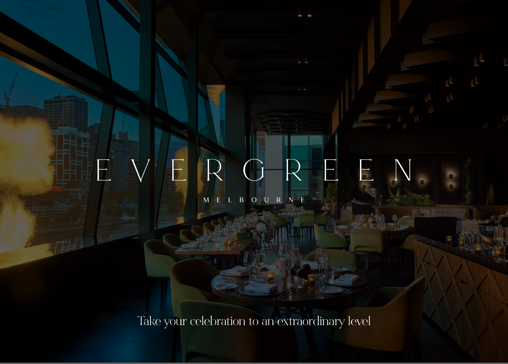Take your celebration to an extraordinary level

 $\overline{(\ }$ 

MELBOURNE

 $\pm$ 

FI

 $\frac{1}{3}$